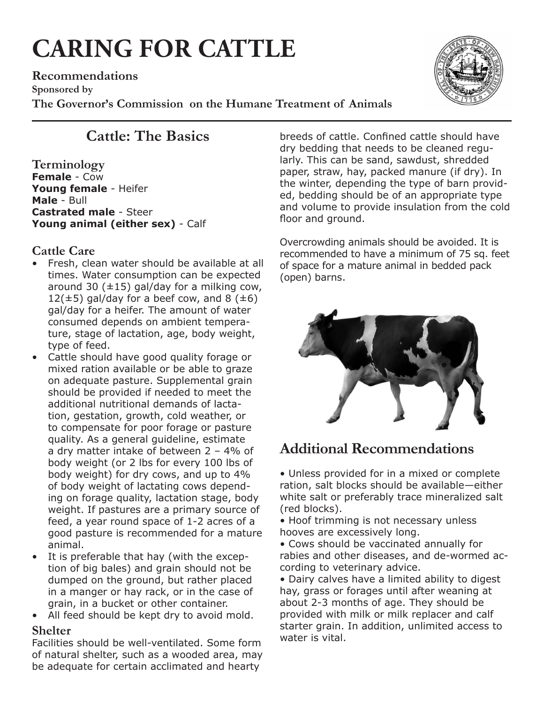# **CARING FOR CATTLE**

**Recommendations Sponsored by The Governor's Commission on the Humane Treatment of Animals**



## **Cattle: The Basics**

**Terminology Female** - Cow **Young female** - Heifer **Male** - Bull **Castrated male** - Steer **Young animal (either sex)** - Calf

#### **Cattle Care**

- • Fresh, clean water should be available at all times. Water consumption can be expected around 30 ( $\pm$ 15) gal/day for a milking cow, 12( $\pm$ 5) gal/day for a beef cow, and 8 ( $\pm$ 6) gal/day for a heifer. The amount of water consumed depends on ambient temperature, stage of lactation, age, body weight, type of feed.
- Cattle should have good quality forage or mixed ration available or be able to graze on adequate pasture. Supplemental grain should be provided if needed to meet the additional nutritional demands of lactation, gestation, growth, cold weather, or to compensate for poor forage or pasture quality. As a general guideline, estimate a dry matter intake of between 2 – 4% of body weight (or 2 lbs for every 100 lbs of body weight) for dry cows, and up to 4% of body weight of lactating cows depending on forage quality, lactation stage, body weight. If pastures are a primary source of feed, a year round space of 1-2 acres of a good pasture is recommended for a mature animal.
- • It is preferable that hay (with the exception of big bales) and grain should not be dumped on the ground, but rather placed in a manger or hay rack, or in the case of grain, in a bucket or other container.
- All feed should be kept dry to avoid mold.

#### **Shelter**

Facilities should be well-ventilated. Some form of natural shelter, such as a wooded area, may be adequate for certain acclimated and hearty

breeds of cattle. Confined cattle should have dry bedding that needs to be cleaned regularly. This can be sand, sawdust, shredded paper, straw, hay, packed manure (if dry). In the winter, depending the type of barn provided, bedding should be of an appropriate type and volume to provide insulation from the cold floor and ground.

Overcrowding animals should be avoided. It is recommended to have a minimum of 75 sq. feet of space for a mature animal in bedded pack (open) barns.



### **Additional Recommendations**

• Unless provided for in a mixed or complete ration, salt blocks should be available—either white salt or preferably trace mineralized salt (red blocks).

• Hoof trimming is not necessary unless hooves are excessively long.

• Cows should be vaccinated annually for rabies and other diseases, and de-wormed according to veterinary advice.

• Dairy calves have a limited ability to digest hay, grass or forages until after weaning at about 2-3 months of age. They should be provided with milk or milk replacer and calf starter grain. In addition, unlimited access to water is vital.